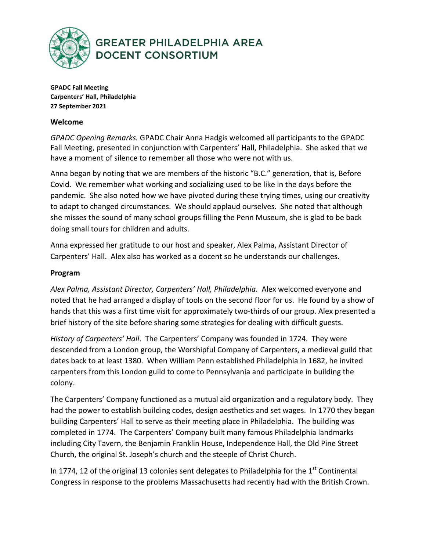

# **GREATER PHILADELPHIA AREA DOCENT CONSORTIUM**

**GPADC Fall Meeting Carpenters' Hall, Philadelphia 27 September 2021**

#### **Welcome**

GPADC Opening Remarks. GPADC Chair Anna Hadgis welcomed all participants to the GPADC Fall Meeting, presented in conjunction with Carpenters' Hall, Philadelphia. She asked that we have a moment of silence to remember all those who were not with us.

Anna began by noting that we are members of the historic "B.C." generation, that is, Before Covid. We remember what working and socializing used to be like in the days before the pandemic. She also noted how we have pivoted during these trying times, using our creativity to adapt to changed circumstances. We should applaud ourselves. She noted that although she misses the sound of many school groups filling the Penn Museum, she is glad to be back doing small tours for children and adults.

Anna expressed her gratitude to our host and speaker, Alex Palma, Assistant Director of Carpenters' Hall. Alex also has worked as a docent so he understands our challenges.

### **Program**

Alex Palma, Assistant Director, Carpenters' Hall, Philadelphia. Alex welcomed everyone and noted that he had arranged a display of tools on the second floor for us. He found by a show of hands that this was a first time visit for approximately two-thirds of our group. Alex presented a brief history of the site before sharing some strategies for dealing with difficult guests.

*History of Carpenters' Hall.* The Carpenters' Company was founded in 1724. They were descended from a London group, the Worshipful Company of Carpenters, a medieval guild that dates back to at least 1380. When William Penn established Philadelphia in 1682, he invited carpenters from this London guild to come to Pennsylvania and participate in building the colony. 

The Carpenters' Company functioned as a mutual aid organization and a regulatory body. They had the power to establish building codes, design aesthetics and set wages. In 1770 they began building Carpenters' Hall to serve as their meeting place in Philadelphia. The building was completed in 1774. The Carpenters' Company built many famous Philadelphia landmarks including City Tavern, the Benjamin Franklin House, Independence Hall, the Old Pine Street Church, the original St. Joseph's church and the steeple of Christ Church.

In 1774, 12 of the original 13 colonies sent delegates to Philadelphia for the  $1<sup>st</sup>$  Continental Congress in response to the problems Massachusetts had recently had with the British Crown.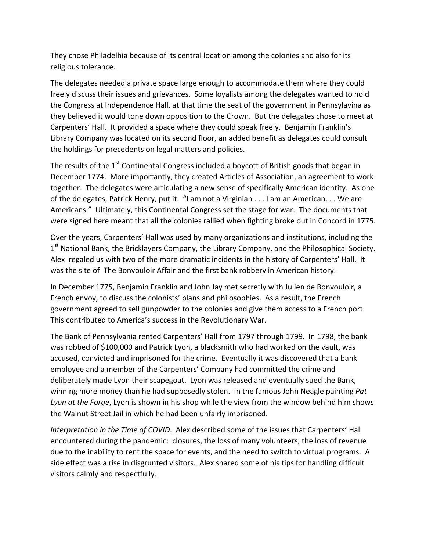They chose Philadelhia because of its central location among the colonies and also for its religious tolerance.

The delegates needed a private space large enough to accommodate them where they could freely discuss their issues and grievances. Some loyalists among the delegates wanted to hold the Congress at Independence Hall, at that time the seat of the government in Pennsylavina as they believed it would tone down opposition to the Crown. But the delegates chose to meet at Carpenters' Hall. It provided a space where they could speak freely. Benjamin Franklin's Library Company was located on its second floor, an added benefit as delegates could consult the holdings for precedents on legal matters and policies.

The results of the  $1<sup>st</sup>$  Continental Congress included a boycott of British goods that began in December 1774. More importantly, they created Articles of Association, an agreement to work together. The delegates were articulating a new sense of specifically American identity. As one of the delegates, Patrick Henry, put it: "I am not a Virginian . . . I am an American. . . We are Americans." Ultimately, this Continental Congress set the stage for war. The documents that were signed here meant that all the colonies rallied when fighting broke out in Concord in 1775.

Over the years, Carpenters' Hall was used by many organizations and institutions, including the 1<sup>st</sup> National Bank, the Bricklayers Company, the Library Company, and the Philosophical Society. Alex regaled us with two of the more dramatic incidents in the history of Carpenters' Hall. It was the site of The Bonvouloir Affair and the first bank robbery in American history.

In December 1775, Benjamin Franklin and John Jay met secretly with Julien de Bonvouloir, a French envoy, to discuss the colonists' plans and philosophies. As a result, the French government agreed to sell gunpowder to the colonies and give them access to a French port. This contributed to America's success in the Revolutionary War.

The Bank of Pennsylvania rented Carpenters' Hall from 1797 through 1799. In 1798, the bank was robbed of \$100,000 and Patrick Lyon, a blacksmith who had worked on the vault, was accused, convicted and imprisoned for the crime. Eventually it was discovered that a bank employee and a member of the Carpenters' Company had committed the crime and deliberately made Lyon their scapegoat. Lyon was released and eventually sued the Bank, winning more money than he had supposedly stolen. In the famous John Neagle painting *Pat Lyon at the Forge*, Lyon is shown in his shop while the view from the window behind him shows the Walnut Street Jail in which he had been unfairly imprisoned.

*Interpretation in the Time of COVID.* Alex described some of the issues that Carpenters' Hall encountered during the pandemic: closures, the loss of many volunteers, the loss of revenue due to the inability to rent the space for events, and the need to switch to virtual programs. A side effect was a rise in disgrunted visitors. Alex shared some of his tips for handling difficult visitors calmly and respectfully.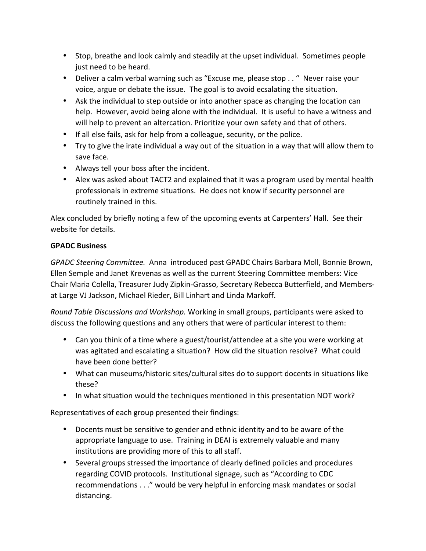- Stop, breathe and look calmly and steadily at the upset individual. Sometimes people just need to be heard.
- Deliver a calm verbal warning such as "Excuse me, please stop . . " Never raise your voice, argue or debate the issue. The goal is to avoid ecsalating the situation.
- Ask the individual to step outside or into another space as changing the location can help. However, avoid being alone with the individual. It is useful to have a witness and will help to prevent an altercation. Prioritize your own safety and that of others.
- If all else fails, ask for help from a colleague, security, or the police.
- Try to give the irate individual a way out of the situation in a way that will allow them to save face.
- Always tell your boss after the incident.
- Alex was asked about TACT2 and explained that it was a program used by mental health professionals in extreme situations. He does not know if security personnel are routinely trained in this.

Alex concluded by briefly noting a few of the upcoming events at Carpenters' Hall. See their website for details.

## **GPADC Business**

*GPADC Steering Committee.* Anna introduced past GPADC Chairs Barbara Moll, Bonnie Brown, Ellen Semple and Janet Krevenas as well as the current Steering Committee members: Vice Chair Maria Colella, Treasurer Judy Zipkin-Grasso, Secretary Rebecca Butterfield, and Membersat Large VJ Jackson, Michael Rieder, Bill Linhart and Linda Markoff.

*Round Table Discussions and Workshop.* Working in small groups, participants were asked to discuss the following questions and any others that were of particular interest to them:

- Can you think of a time where a guest/tourist/attendee at a site you were working at was agitated and escalating a situation? How did the situation resolve? What could have been done better?
- What can museums/historic sites/cultural sites do to support docents in situations like these?
- In what situation would the techniques mentioned in this presentation NOT work?

Representatives of each group presented their findings:

- Docents must be sensitive to gender and ethnic identity and to be aware of the appropriate language to use. Training in DEAI is extremely valuable and many institutions are providing more of this to all staff.
- Several groups stressed the importance of clearly defined policies and procedures regarding COVID protocols. Institutional signage, such as "According to CDC recommendations . . ." would be very helpful in enforcing mask mandates or social distancing.